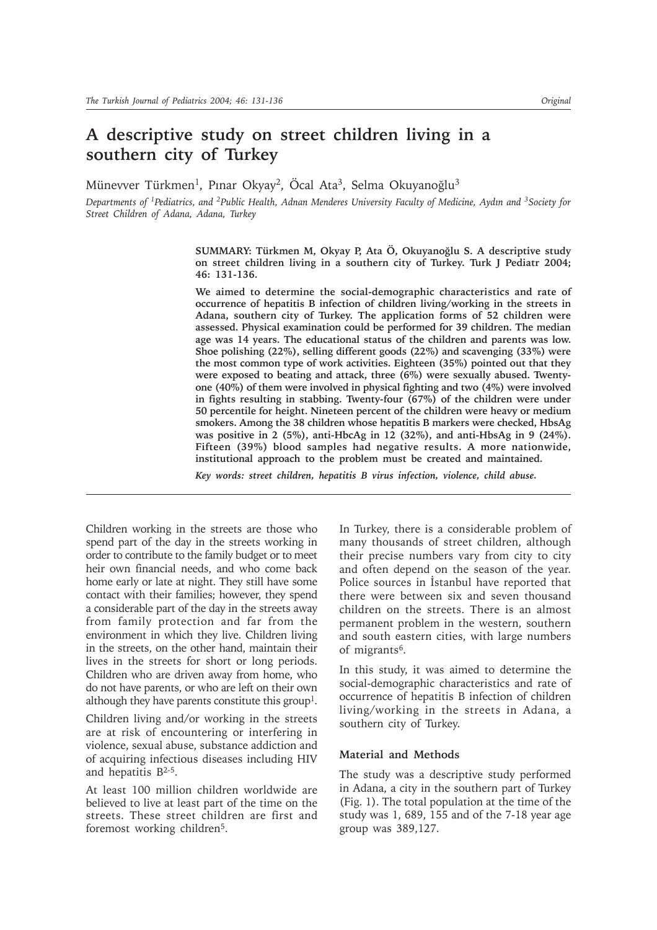# **A descriptive study on street children living in a southern city of Turkey**

Münevver Türkmen<sup>1</sup>, Pinar Okyay<sup>2</sup>, Öcal Ata<sup>3</sup>, Selma Okuyanoğlu<sup>3</sup>

*Departments of 1Pediatrics, and 2Public Health, Adnan Menderes University Faculty of Medicine, Aydýn and 3Society for Street Children of Adana, Adana, Turkey*

> **SUMMARY: Türkmen M, Okyay P, Ata Ö, Okuyanoðlu S. A descriptive study on street children living in a southern city of Turkey. Turk J Pediatr 2004; 46: 131-136.**

> **We aimed to determine the social-demographic characteristics and rate of occurrence of hepatitis B infection of children living/working in the streets in Adana, southern city of Turkey. The application forms of 52 children were assessed. Physical examination could be performed for 39 children. The median age was 14 years. The educational status of the children and parents was low. Shoe polishing (22%), selling different goods (22%) and scavenging (33%) were the most common type of work activities. Eighteen (35%) pointed out that they were exposed to beating and attack, three (6%) were sexually abused. Twentyone (40%) of them were involved in physical fighting and two (4%) were involved in fights resulting in stabbing. Twenty-four (67%) of the children were under 50 percentile for height. Nineteen percent of the children were heavy or medium smokers. Among the 38 children whose hepatitis B markers were checked, HbsAg was positive in 2 (5%), anti-HbcAg in 12 (32%), and anti-HbsAg in 9 (24%). Fifteen (39%) blood samples had negative results. A more nationwide, institutional approach to the problem must be created and maintained.**

*Key words: street children, hepatitis B virus infection, violence, child abuse.*

Children working in the streets are those who spend part of the day in the streets working in order to contribute to the family budget or to meet heir own financial needs, and who come back home early or late at night. They still have some contact with their families; however, they spend a considerable part of the day in the streets away from family protection and far from the environment in which they live. Children living in the streets, on the other hand, maintain their lives in the streets for short or long periods. Children who are driven away from home, who do not have parents, or who are left on their own although they have parents constitute this group1.

Children living and/or working in the streets are at risk of encountering or interfering in violence, sexual abuse, substance addiction and of acquiring infectious diseases including HIV and hepatitis B2-5.

At least 100 million children worldwide are believed to live at least part of the time on the streets. These street children are first and foremost working children<sup>5</sup>.

In Turkey, there is a considerable problem of many thousands of street children, although their precise numbers vary from city to city and often depend on the season of the year. Police sources in Istanbul have reported that there were between six and seven thousand children on the streets. There is an almost permanent problem in the western, southern and south eastern cities, with large numbers of migrants6.

In this study, it was aimed to determine the social-demographic characteristics and rate of occurrence of hepatitis B infection of children living/working in the streets in Adana, a southern city of Turkey.

## **Material and Methods**

The study was a descriptive study performed in Adana, a city in the southern part of Turkey (Fig. 1). The total population at the time of the study was 1, 689, 155 and of the 7-18 year age group was 389,127.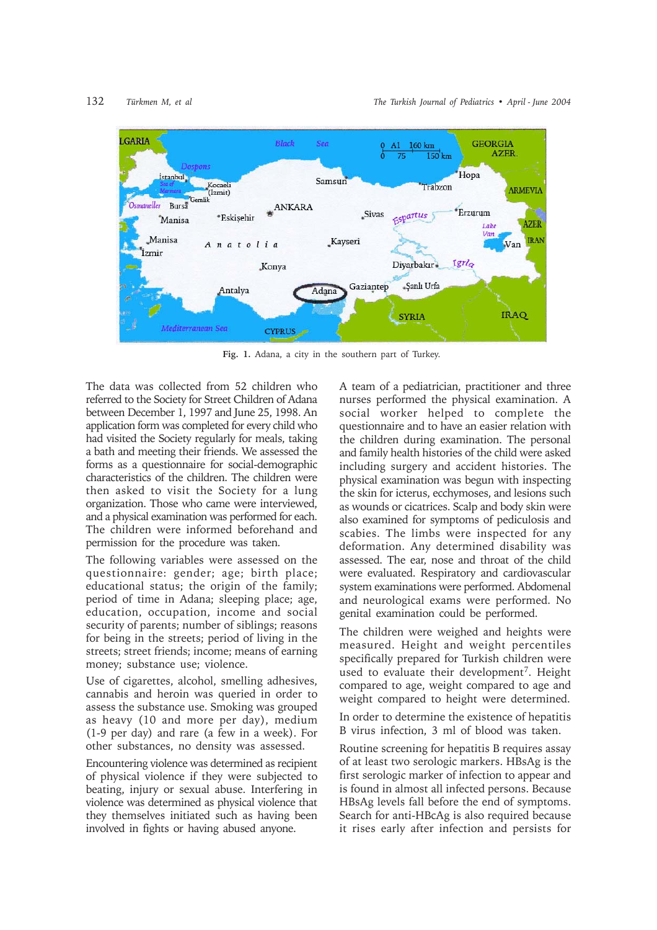

**Fig. 1.** Adana, a city in the southern part of Turkey.

The data was collected from 52 children who referred to the Society for Street Children of Adana between December 1, 1997 and June 25, 1998. An application form was completed for every child who had visited the Society regularly for meals, taking a bath and meeting their friends. We assessed the forms as a questionnaire for social-demographic characteristics of the children. The children were then asked to visit the Society for a lung organization. Those who came were interviewed, and a physical examination was performed for each. The children were informed beforehand and permission for the procedure was taken.

The following variables were assessed on the questionnaire: gender; age; birth place; educational status; the origin of the family; period of time in Adana; sleeping place; age, education, occupation, income and social security of parents; number of siblings; reasons for being in the streets; period of living in the streets; street friends; income; means of earning money; substance use; violence.

Use of cigarettes, alcohol, smelling adhesives, cannabis and heroin was queried in order to assess the substance use. Smoking was grouped as heavy (10 and more per day), medium (1-9 per day) and rare (a few in a week). For other substances, no density was assessed.

Encountering violence was determined as recipient of physical violence if they were subjected to beating, injury or sexual abuse. Interfering in violence was determined as physical violence that they themselves initiated such as having been involved in fights or having abused anyone.

A team of a pediatrician, practitioner and three nurses performed the physical examination. A social worker helped to complete the questionnaire and to have an easier relation with the children during examination. The personal and family health histories of the child were asked including surgery and accident histories. The physical examination was begun with inspecting the skin for icterus, ecchymoses, and lesions such as wounds or cicatrices. Scalp and body skin were also examined for symptoms of pediculosis and scabies. The limbs were inspected for any deformation. Any determined disability was assessed. The ear, nose and throat of the child were evaluated. Respiratory and cardiovascular system examinations were performed. Abdomenal and neurological exams were performed. No genital examination could be performed.

The children were weighed and heights were measured. Height and weight percentiles specifically prepared for Turkish children were used to evaluate their development<sup>7</sup>. Height compared to age, weight compared to age and weight compared to height were determined.

In order to determine the existence of hepatitis B virus infection, 3 ml of blood was taken.

Routine screening for hepatitis B requires assay of at least two serologic markers. HBsAg is the first serologic marker of infection to appear and is found in almost all infected persons. Because HBsAg levels fall before the end of symptoms. Search for anti-HBcAg is also required because it rises early after infection and persists for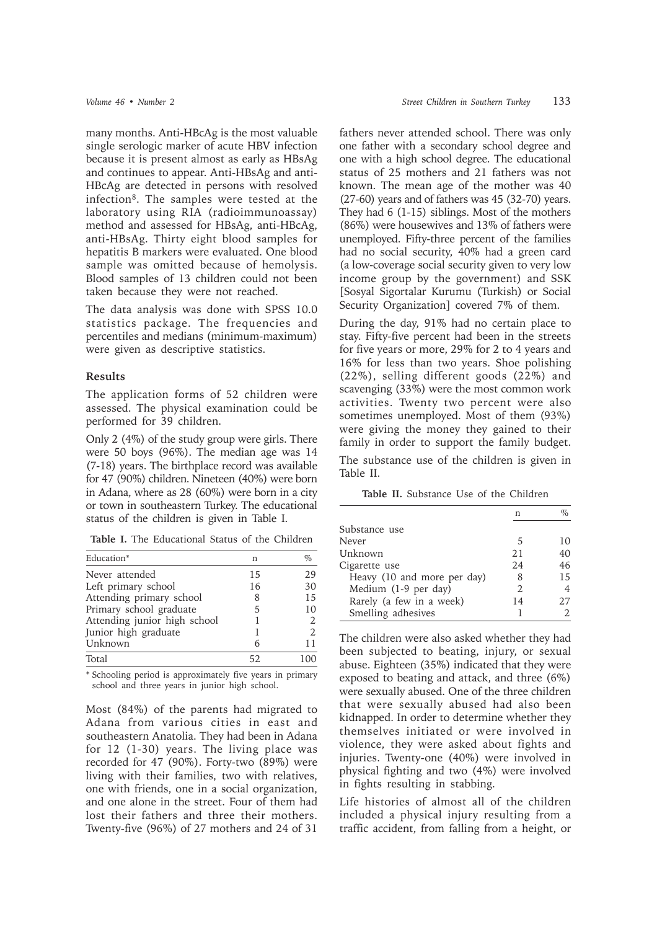many months. Anti-HBcAg is the most valuable single serologic marker of acute HBV infection because it is present almost as early as HBsAg and continues to appear. Anti-HBsAg and anti-HBcAg are detected in persons with resolved infection8. The samples were tested at the laboratory using RIA (radioimmunoassay) method and assessed for HBsAg, anti-HBcAg, anti-HBsAg. Thirty eight blood samples for hepatitis B markers were evaluated. One blood sample was omitted because of hemolysis. Blood samples of 13 children could not been taken because they were not reached.

The data analysis was done with SPSS 10.0 statistics package. The frequencies and percentiles and medians (minimum-maximum) were given as descriptive statistics.

### **Results**

The application forms of 52 children were assessed. The physical examination could be performed for 39 children.

Only 2 (4%) of the study group were girls. There were 50 boys (96%). The median age was 14 (7-18) years. The birthplace record was available for 47 (90%) children. Nineteen (40%) were born in Adana, where as 28 (60%) were born in a city or town in southeastern Turkey. The educational status of the children is given in Table I.

| Table I. The Educational Status of the Children |  |  |  |  |  |  |
|-------------------------------------------------|--|--|--|--|--|--|
|-------------------------------------------------|--|--|--|--|--|--|

| Education*                   | n  | $\%$                        |
|------------------------------|----|-----------------------------|
| Never attended               | 15 | 29                          |
| Left primary school          | 16 | 30                          |
| Attending primary school     | 8  | 15                          |
| Primary school graduate      | 5  | 10                          |
| Attending junior high school |    | 2                           |
| Junior high graduate         |    | $\mathcal{D}_{\mathcal{L}}$ |
| Unknown                      | 6  | 11                          |
| Total                        | 52 |                             |

\* Schooling period is approximately five years in primary school and three years in junior high school.

Most (84%) of the parents had migrated to Adana from various cities in east and southeastern Anatolia. They had been in Adana for 12 (1-30) years. The living place was recorded for 47 (90%). Forty-two (89%) were living with their families, two with relatives, one with friends, one in a social organization, and one alone in the street. Four of them had lost their fathers and three their mothers. Twenty-five (96%) of 27 mothers and 24 of 31

fathers never attended school. There was only one father with a secondary school degree and one with a high school degree. The educational status of 25 mothers and 21 fathers was not known. The mean age of the mother was 40 (27-60) years and of fathers was 45 (32-70) years. They had 6 (1-15) siblings. Most of the mothers (86%) were housewives and 13% of fathers were unemployed. Fifty-three percent of the families had no social security, 40% had a green card (a low-coverage social security given to very low income group by the government) and SSK [Sosyal Sigortalar Kurumu (Turkish) or Social Security Organization] covered 7% of them.

During the day, 91% had no certain place to stay. Fifty-five percent had been in the streets for five years or more, 29% for 2 to 4 years and 16% for less than two years. Shoe polishing (22%), selling different goods (22%) and scavenging (33%) were the most common work activities. Twenty two percent were also sometimes unemployed. Most of them (93%) were giving the money they gained to their family in order to support the family budget. The substance use of the children is given in

Table II.

**Table II.** Substance Use of the Children

|                             | n   | %  |
|-----------------------------|-----|----|
| Substance use               |     |    |
| Never                       | 5   | 10 |
| Unknown                     | 2.1 | 40 |
| Cigarette use               | 2.4 | 46 |
| Heavy (10 and more per day) | 8   | 15 |
| Medium (1-9 per day)        | 2   |    |
| Rarely (a few in a week)    | 14  | 27 |
| Smelling adhesives          |     |    |

The children were also asked whether they had been subjected to beating, injury, or sexual abuse. Eighteen (35%) indicated that they were exposed to beating and attack, and three (6%) were sexually abused. One of the three children that were sexually abused had also been kidnapped. In order to determine whether they themselves initiated or were involved in violence, they were asked about fights and injuries. Twenty-one (40%) were involved in physical fighting and two (4%) were involved in fights resulting in stabbing.

Life histories of almost all of the children included a physical injury resulting from a traffic accident, from falling from a height, or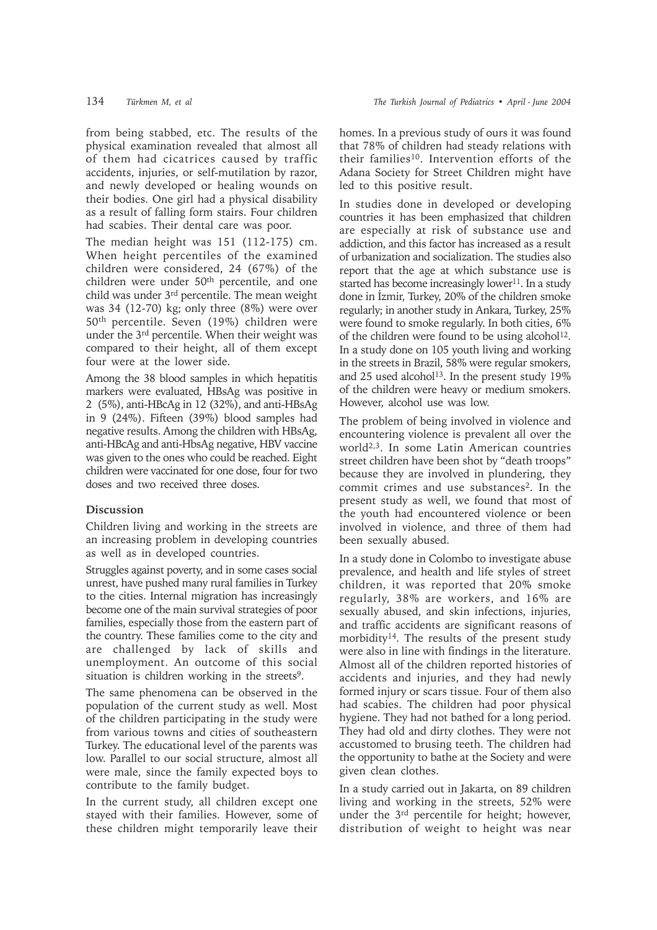from being stabbed, etc. The results of the physical examination revealed that almost all of them had cicatrices caused by traffic accidents, injuries, or self-mutilation by razor, and newly developed or healing wounds on their bodies. One girl had a physical disability as a result of falling form stairs. Four children had scabies. Their dental care was poor.

The median height was 151 (112-175) cm. When height percentiles of the examined children were considered, 24 (67%) of the children were under 50th percentile, and one child was under 3rd percentile. The mean weight was 34 (12-70) kg; only three (8%) were over 50th percentile. Seven (19%) children were under the 3rd percentile. When their weight was compared to their height, all of them except four were at the lower side.

Among the 38 blood samples in which hepatitis markers were evaluated, HBsAg was positive in 2 (5%), anti-HBcAg in 12 (32%), and anti-HBsAg in 9 (24%). Fifteen (39%) blood samples had negative results. Among the children with HBsAg, anti-HBcAg and anti-HbsAg negative, HBV vaccine was given to the ones who could be reached. Eight children were vaccinated for one dose, four for two doses and two received three doses.

# **Discussion**

Children living and working in the streets are an increasing problem in developing countries as well as in developed countries.

Struggles against poverty, and in some cases social unrest, have pushed many rural families in Turkey to the cities. Internal migration has increasingly become one of the main survival strategies of poor families, especially those from the eastern part of the country. These families come to the city and are challenged by lack of skills and unemployment. An outcome of this social situation is children working in the streets<sup>9</sup>.

The same phenomena can be observed in the population of the current study as well. Most of the children participating in the study were from various towns and cities of southeastern Turkey. The educational level of the parents was low. Parallel to our social structure, almost all were male, since the family expected boys to contribute to the family budget.

In the current study, all children except one stayed with their families. However, some of these children might temporarily leave their homes. In a previous study of ours it was found that 78% of children had steady relations with their families<sup>10</sup>. Intervention efforts of the Adana Society for Street Children might have led to this positive result.

In studies done in developed or developing countries it has been emphasized that children are especially at risk of substance use and addiction, and this factor has increased as a result of urbanization and socialization. The studies also report that the age at which substance use is started has become increasingly lower<sup>11</sup>. In a study done in İzmir, Turkey, 20% of the children smoke regularly; in another study in Ankara, Turkey, 25% were found to smoke regularly. In both cities, 6% of the children were found to be using alcohol<sup>12</sup>. In a study done on 105 youth living and working in the streets in Brazil, 58% were regular smokers, and 25 used alcohol<sup>13</sup>. In the present study 19% of the children were heavy or medium smokers. However, alcohol use was low.

The problem of being involved in violence and encountering violence is prevalent all over the world2,3. In some Latin American countries street children have been shot by "death troops" because they are involved in plundering, they commit crimes and use substances<sup>2</sup>. In the present study as well, we found that most of the youth had encountered violence or been involved in violence, and three of them had been sexually abused.

In a study done in Colombo to investigate abuse prevalence, and health and life styles of street children, it was reported that 20% smoke regularly, 38% are workers, and 16% are sexually abused, and skin infections, injuries, and traffic accidents are significant reasons of morbidity14. The results of the present study were also in line with findings in the literature. Almost all of the children reported histories of accidents and injuries, and they had newly formed injury or scars tissue. Four of them also had scabies. The children had poor physical hygiene. They had not bathed for a long period. They had old and dirty clothes. They were not accustomed to brusing teeth. The children had the opportunity to bathe at the Society and were given clean clothes.

In a study carried out in Jakarta, on 89 children living and working in the streets, 52% were under the 3rd percentile for height; however, distribution of weight to height was near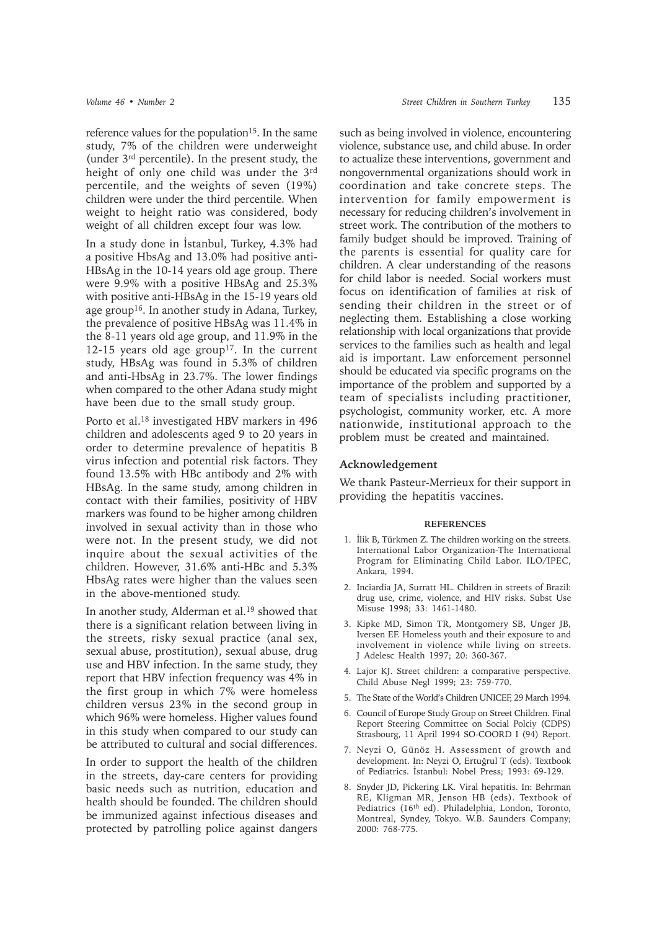reference values for the population<sup>15</sup>. In the same study, 7% of the children were underweight (under 3rd percentile). In the present study, the height of only one child was under the 3rd percentile, and the weights of seven (19%) children were under the third percentile. When weight to height ratio was considered, body weight of all children except four was low.

In a study done in Istanbul, Turkey, 4.3% had a positive HbsAg and 13.0% had positive anti-HBsAg in the 10-14 years old age group. There were 9.9% with a positive HBsAg and 25.3% with positive anti-HBsAg in the 15-19 years old age group16. In another study in Adana, Turkey, the prevalence of positive HBsAg was 11.4% in the 8-11 years old age group, and 11.9% in the 12-15 years old age group<sup>17</sup>. In the current study, HBsAg was found in 5.3% of children and anti-HbsAg in 23.7%. The lower findings when compared to the other Adana study might have been due to the small study group.

Porto et al.18 investigated HBV markers in 496 children and adolescents aged 9 to 20 years in order to determine prevalence of hepatitis B virus infection and potential risk factors. They found 13.5% with HBc antibody and 2% with HBsAg. In the same study, among children in contact with their families, positivity of HBV markers was found to be higher among children involved in sexual activity than in those who were not. In the present study, we did not inquire about the sexual activities of the children. However, 31.6% anti-HBc and 5.3% HbsAg rates were higher than the values seen in the above-mentioned study.

In another study, Alderman et al.19 showed that there is a significant relation between living in the streets, risky sexual practice (anal sex, sexual abuse, prostitution), sexual abuse, drug use and HBV infection. In the same study, they report that HBV infection frequency was 4% in the first group in which 7% were homeless children versus 23% in the second group in which 96% were homeless. Higher values found in this study when compared to our study can be attributed to cultural and social differences.

In order to support the health of the children in the streets, day-care centers for providing basic needs such as nutrition, education and health should be founded. The children should be immunized against infectious diseases and protected by patrolling police against dangers

such as being involved in violence, encountering violence, substance use, and child abuse. In order to actualize these interventions, government and nongovernmental organizations should work in coordination and take concrete steps. The intervention for family empowerment is necessary for reducing children's involvement in street work. The contribution of the mothers to family budget should be improved. Training of the parents is essential for quality care for children. A clear understanding of the reasons for child labor is needed. Social workers must focus on identification of families at risk of sending their children in the street or of neglecting them. Establishing a close working relationship with local organizations that provide services to the families such as health and legal aid is important. Law enforcement personnel should be educated via specific programs on the importance of the problem and supported by a team of specialists including practitioner, psychologist, community worker, etc. A more nationwide, institutional approach to the problem must be created and maintained.

## **Acknowledgement**

We thank Pasteur-Merrieux for their support in providing the hepatitis vaccines.

#### **REFERENCES**

- 1. İlik B, Türkmen Z. The children working on the streets. International Labor Organization-The International Program for Eliminating Child Labor. ILO/IPEC, Ankara, 1994.
- 2. Inciardia JA, Surratt HL. Children in streets of Brazil: drug use, crime, violence, and HIV risks. Subst Use Misuse 1998; 33: 1461-1480.
- 3. Kipke MD, Simon TR, Montgomery SB, Unger JB, Iversen EF. Homeless youth and their exposure to and involvement in violence while living on streets. J Adelesc Health 1997; 20: 360-367.
- 4. Lajor KJ. Street children: a comparative perspective. Child Abuse Negl 1999; 23: 759-770.
- 5. The State of the World's Children UNICEF, 29 March 1994.
- 6. Council of Europe Study Group on Street Children. Final Report Steering Committee on Social Polciy (CDPS) Strasbourg, 11 April 1994 SO-COORD I (94) Report.
- 7. Neyzi O, Günöz H. Assessment of growth and development. In: Neyzi O, Ertuğrul T (eds). Textbook of Pediatrics. İstanbul: Nobel Press; 1993: 69-129.
- 8. Snyder JD, Pickering LK. Viral hepatitis. In: Behrman RE, Kligman MR, Jenson HB (eds). Textbook of Pediatrics (16th ed). Philadelphia, London, Toronto, Montreal, Syndey, Tokyo. W.B. Saunders Company; 2000: 768-775.